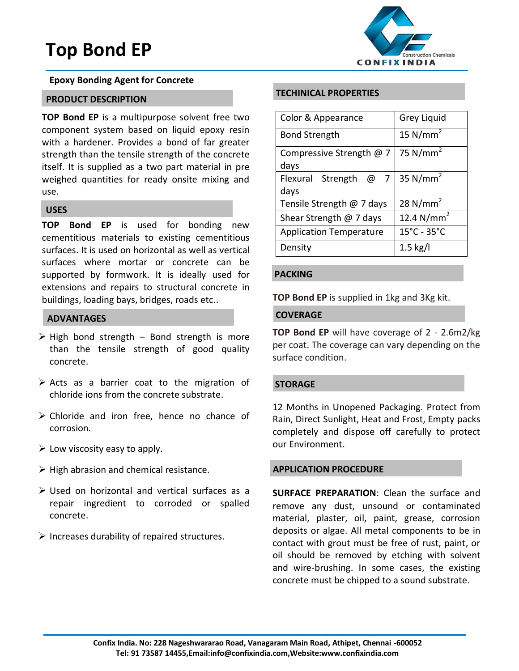# **Top Bond EP**



#### **Epoxy Bonding Agent for Concrete**

## **PRODUCT DESCRIPTION**

**TOP Bond EP** is a multipurpose solvent free two component system based on liquid epoxy resin with a hardener. Provides a bond of far greater strength than the tensile strength of the concrete itself. It is supplied as a two part material in pre weighed quantities for ready onsite mixing and use.

# **USES**

**TOP Bond EP** is used for bonding new cementitious materials to existing cementitious surfaces. It is used on horizontal as well as vertical surfaces where mortar or concrete can be supported by formwork. It is ideally used for extensions and repairs to structural concrete in buildings, loading bays, bridges, roads etc..

#### **ADVANTAGES**

- > High bond strength Bond strength is more than the tensile strength of good quality concrete.
- $\triangleright$  Acts as a barrier coat to the migration of chloride ions from the concrete substrate.
- Chloride and iron free, hence no chance of corrosion.
- $\triangleright$  Low viscosity easy to apply.
- $\triangleright$  High abrasion and chemical resistance.
- Used on horizontal and vertical surfaces as a repair ingredient to corroded or spalled concrete.
- $\triangleright$  Increases durability of repaired structures.

### **TECHINICAL PROPERTIES**

| Color & Appearance                 | Grey Liquid                      |
|------------------------------------|----------------------------------|
| <b>Bond Strength</b>               | 15 $N/mm2$                       |
| Compressive Strength @ 7<br>days   | 75 $N/mm2$                       |
| Strength $@7 $<br>Flexural<br>days | 35 $N/mm2$                       |
| Tensile Strength @ 7 days          | 28 N/mm <sup>2</sup>             |
| Shear Strength $@$ 7 days          | 12.4 N/mm <sup>2</sup>           |
| <b>Application Temperature</b>     | $15^{\circ}$ C - 35 $^{\circ}$ C |
| Density                            | $1.5$ kg/l                       |

#### **PACKING**

**TOP Bond EP** is supplied in 1kg and 3Kg kit.

### **COVERAGE**

**TOP Bond EP** will have coverage of 2 - 2.6m2/kg per coat. The coverage can vary depending on the surface condition.

#### **STORAGE**

12 Months in Unopened Packaging. Protect from Rain, Direct Sunlight, Heat and Frost, Empty packs completely and dispose off carefully to protect our Environment.

#### **APPLICATION PROCEDURE**

**SURFACE PREPARATION**: Clean the surface and remove any dust, unsound or contaminated material, plaster, oil, paint, grease, corrosion deposits or algae. All metal components to be in contact with grout must be free of rust, paint, or oil should be removed by etching with solvent and wire-brushing. In some cases, the existing concrete must be chipped to a sound substrate.